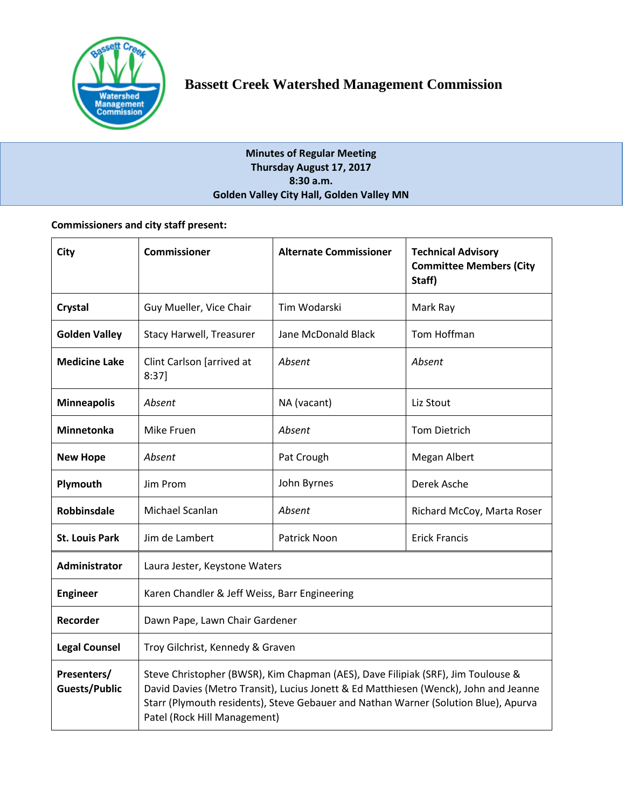

# **Minutes of Regular Meeting Thursday August 17, 2017 8:30 a.m. Golden Valley City Hall, Golden Valley MN**

# **Commissioners and city staff present:**

| <b>City</b>                         | <b>Commissioner</b>                                                                                                                                                                                                                                                                             | <b>Alternate Commissioner</b> | <b>Technical Advisory</b><br><b>Committee Members (City</b><br>Staff) |  |
|-------------------------------------|-------------------------------------------------------------------------------------------------------------------------------------------------------------------------------------------------------------------------------------------------------------------------------------------------|-------------------------------|-----------------------------------------------------------------------|--|
| Crystal                             | Guy Mueller, Vice Chair                                                                                                                                                                                                                                                                         | Tim Wodarski                  | Mark Ray                                                              |  |
| <b>Golden Valley</b>                | Stacy Harwell, Treasurer                                                                                                                                                                                                                                                                        | Jane McDonald Black           | Tom Hoffman                                                           |  |
| <b>Medicine Lake</b>                | Clint Carlson [arrived at<br>8:37]                                                                                                                                                                                                                                                              | Absent                        | Absent                                                                |  |
| <b>Minneapolis</b>                  | Absent                                                                                                                                                                                                                                                                                          | NA (vacant)                   | Liz Stout                                                             |  |
| Minnetonka                          | Mike Fruen                                                                                                                                                                                                                                                                                      | Absent                        | <b>Tom Dietrich</b>                                                   |  |
| <b>New Hope</b>                     | Absent                                                                                                                                                                                                                                                                                          | Pat Crough                    | Megan Albert                                                          |  |
| Plymouth                            | Jim Prom                                                                                                                                                                                                                                                                                        | John Byrnes                   | Derek Asche                                                           |  |
| <b>Robbinsdale</b>                  | Michael Scanlan                                                                                                                                                                                                                                                                                 | Absent                        | Richard McCoy, Marta Roser                                            |  |
| <b>St. Louis Park</b>               | Jim de Lambert                                                                                                                                                                                                                                                                                  | Patrick Noon                  | <b>Erick Francis</b>                                                  |  |
| <b>Administrator</b>                | Laura Jester, Keystone Waters                                                                                                                                                                                                                                                                   |                               |                                                                       |  |
| <b>Engineer</b>                     | Karen Chandler & Jeff Weiss, Barr Engineering                                                                                                                                                                                                                                                   |                               |                                                                       |  |
| Recorder                            | Dawn Pape, Lawn Chair Gardener                                                                                                                                                                                                                                                                  |                               |                                                                       |  |
| <b>Legal Counsel</b>                | Troy Gilchrist, Kennedy & Graven                                                                                                                                                                                                                                                                |                               |                                                                       |  |
| Presenters/<br><b>Guests/Public</b> | Steve Christopher (BWSR), Kim Chapman (AES), Dave Filipiak (SRF), Jim Toulouse &<br>David Davies (Metro Transit), Lucius Jonett & Ed Matthiesen (Wenck), John and Jeanne<br>Starr (Plymouth residents), Steve Gebauer and Nathan Warner (Solution Blue), Apurva<br>Patel (Rock Hill Management) |                               |                                                                       |  |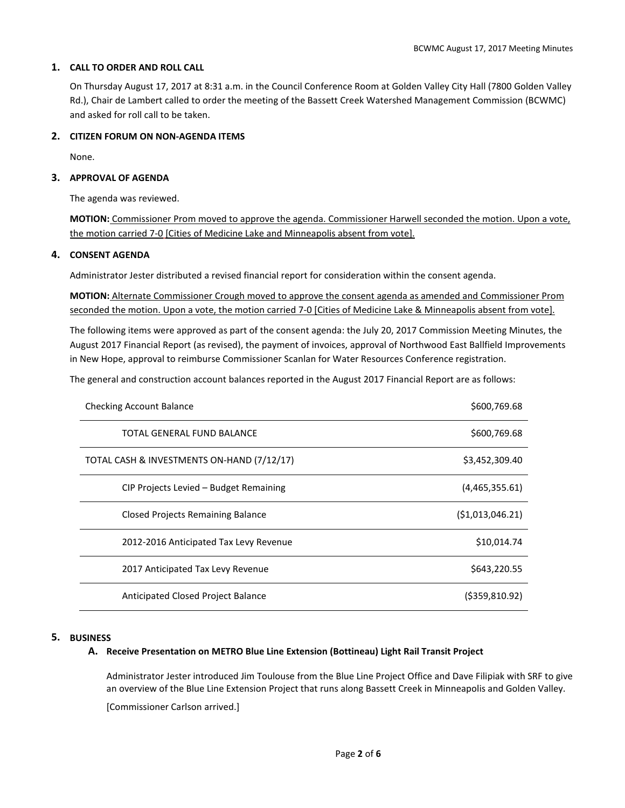# **1. CALL TO ORDER AND ROLL CALL**

On Thursday August 17, 2017 at 8:31 a.m. in the Council Conference Room at Golden Valley City Hall (7800 Golden Valley Rd.), Chair de Lambert called to order the meeting of the Bassett Creek Watershed Management Commission (BCWMC) and asked for roll call to be taken.

# **2. CITIZEN FORUM ON NON-AGENDA ITEMS**

None.

# **3. APPROVAL OF AGENDA**

The agenda was reviewed.

**MOTION:** Commissioner Prom moved to approve the agenda. Commissioner Harwell seconded the motion. Upon a vote, the motion carried 7-0 [Cities of Medicine Lake and Minneapolis absent from vote].

## **4. CONSENT AGENDA**

Administrator Jester distributed a revised financial report for consideration within the consent agenda.

**MOTION:** Alternate Commissioner Crough moved to approve the consent agenda as amended and Commissioner Prom seconded the motion. Upon a vote, the motion carried 7-0 [Cities of Medicine Lake & Minneapolis absent from vote].

The following items were approved as part of the consent agenda: the July 20, 2017 Commission Meeting Minutes, the August 2017 Financial Report (as revised), the payment of invoices, approval of Northwood East Ballfield Improvements in New Hope, approval to reimburse Commissioner Scanlan for Water Resources Conference registration.

The general and construction account balances reported in the August 2017 Financial Report are as follows:

| <b>Checking Account Balance</b>            | \$600,769.68      |
|--------------------------------------------|-------------------|
| TOTAL GENERAL FUND BALANCE                 | \$600,769.68      |
| TOTAL CASH & INVESTMENTS ON-HAND (7/12/17) | \$3,452,309.40    |
| CIP Projects Levied - Budget Remaining     | (4,465,355.61)    |
| Closed Projects Remaining Balance          | ( \$1,013,046.21) |
| 2012-2016 Anticipated Tax Levy Revenue     | \$10,014.74       |
| 2017 Anticipated Tax Levy Revenue          | \$643,220.55      |
| Anticipated Closed Project Balance         | $($ \$359,810.92) |

## **5. BUSINESS**

# **A. Receive Presentation on METRO Blue Line Extension (Bottineau) Light Rail Transit Project**

Administrator Jester introduced Jim Toulouse from the Blue Line Project Office and Dave Filipiak with SRF to give an overview of the Blue Line Extension Project that runs along Bassett Creek in Minneapolis and Golden Valley.

[Commissioner Carlson arrived.]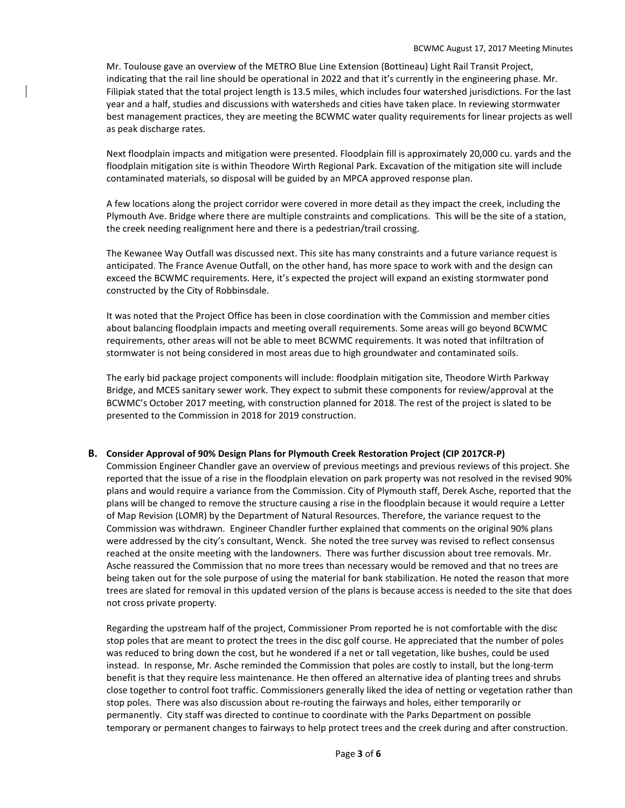Mr. Toulouse gave an overview of the METRO Blue Line Extension (Bottineau) Light Rail Transit Project, indicating that the rail line should be operational in 2022 and that it's currently in the engineering phase. Mr. Filipiak stated that the total project length is 13.5 miles, which includes four watershed jurisdictions. For the last year and a half, studies and discussions with watersheds and cities have taken place. In reviewing stormwater best management practices, they are meeting the BCWMC water quality requirements for linear projects as well as peak discharge rates.

Next floodplain impacts and mitigation were presented. Floodplain fill is approximately 20,000 cu. yards and the floodplain mitigation site is within Theodore Wirth Regional Park. Excavation of the mitigation site will include contaminated materials, so disposal will be guided by an MPCA approved response plan.

A few locations along the project corridor were covered in more detail as they impact the creek, including the Plymouth Ave. Bridge where there are multiple constraints and complications. This will be the site of a station, the creek needing realignment here and there is a pedestrian/trail crossing.

The Kewanee Way Outfall was discussed next. This site has many constraints and a future variance request is anticipated. The France Avenue Outfall, on the other hand, has more space to work with and the design can exceed the BCWMC requirements. Here, it's expected the project will expand an existing stormwater pond constructed by the City of Robbinsdale.

It was noted that the Project Office has been in close coordination with the Commission and member cities about balancing floodplain impacts and meeting overall requirements. Some areas will go beyond BCWMC requirements, other areas will not be able to meet BCWMC requirements. It was noted that infiltration of stormwater is not being considered in most areas due to high groundwater and contaminated soils.

The early bid package project components will include: floodplain mitigation site, Theodore Wirth Parkway Bridge, and MCES sanitary sewer work. They expect to submit these components for review/approval at the BCWMC's October 2017 meeting, with construction planned for 2018. The rest of the project is slated to be presented to the Commission in 2018 for 2019 construction.

#### **B. Consider Approval of 90% Design Plans for Plymouth Creek Restoration Project (CIP 2017CR-P)**

Commission Engineer Chandler gave an overview of previous meetings and previous reviews of this project. She reported that the issue of a rise in the floodplain elevation on park property was not resolved in the revised 90% plans and would require a variance from the Commission. City of Plymouth staff, Derek Asche, reported that the plans will be changed to remove the structure causing a rise in the floodplain because it would require a Letter of Map Revision (LOMR) by the Department of Natural Resources. Therefore, the variance request to the Commission was withdrawn. Engineer Chandler further explained that comments on the original 90% plans were addressed by the city's consultant, Wenck. She noted the tree survey was revised to reflect consensus reached at the onsite meeting with the landowners. There was further discussion about tree removals. Mr. Asche reassured the Commission that no more trees than necessary would be removed and that no trees are being taken out for the sole purpose of using the material for bank stabilization. He noted the reason that more trees are slated for removal in this updated version of the plans is because access is needed to the site that does not cross private property.

Regarding the upstream half of the project, Commissioner Prom reported he is not comfortable with the disc stop poles that are meant to protect the trees in the disc golf course. He appreciated that the number of poles was reduced to bring down the cost, but he wondered if a net or tall vegetation, like bushes, could be used instead. In response, Mr. Asche reminded the Commission that poles are costly to install, but the long-term benefit is that they require less maintenance. He then offered an alternative idea of planting trees and shrubs close together to control foot traffic. Commissioners generally liked the idea of netting or vegetation rather than stop poles. There was also discussion about re-routing the fairways and holes, either temporarily or permanently. City staff was directed to continue to coordinate with the Parks Department on possible temporary or permanent changes to fairways to help protect trees and the creek during and after construction.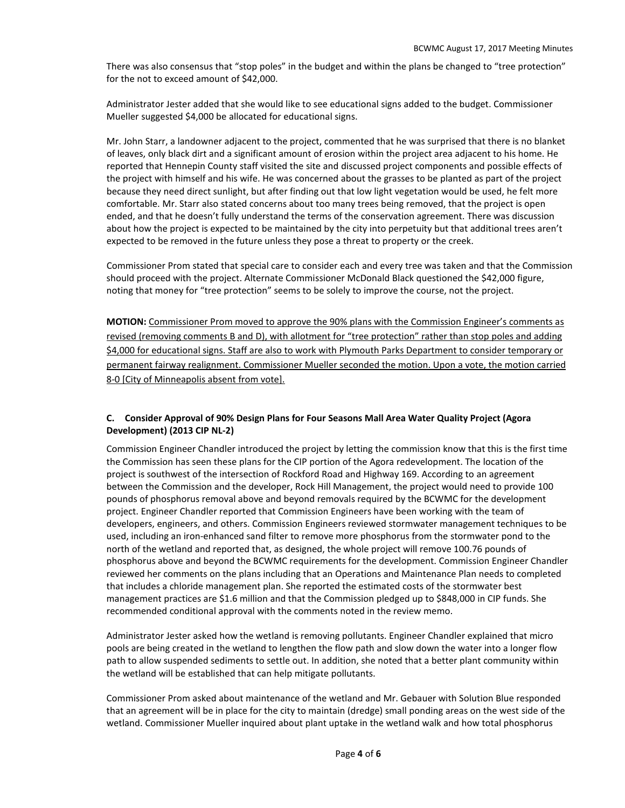There was also consensus that "stop poles" in the budget and within the plans be changed to "tree protection" for the not to exceed amount of \$42,000.

Administrator Jester added that she would like to see educational signs added to the budget. Commissioner Mueller suggested \$4,000 be allocated for educational signs.

Mr. John Starr, a landowner adjacent to the project, commented that he was surprised that there is no blanket of leaves, only black dirt and a significant amount of erosion within the project area adjacent to his home. He reported that Hennepin County staff visited the site and discussed project components and possible effects of the project with himself and his wife. He was concerned about the grasses to be planted as part of the project because they need direct sunlight, but after finding out that low light vegetation would be used, he felt more comfortable. Mr. Starr also stated concerns about too many trees being removed, that the project is open ended, and that he doesn't fully understand the terms of the conservation agreement. There was discussion about how the project is expected to be maintained by the city into perpetuity but that additional trees aren't expected to be removed in the future unless they pose a threat to property or the creek.

Commissioner Prom stated that special care to consider each and every tree was taken and that the Commission should proceed with the project. Alternate Commissioner McDonald Black questioned the \$42,000 figure, noting that money for "tree protection" seems to be solely to improve the course, not the project.

**MOTION:** Commissioner Prom moved to approve the 90% plans with the Commission Engineer's comments as revised (removing comments B and D), with allotment for "tree protection" rather than stop poles and adding \$4,000 for educational signs. Staff are also to work with Plymouth Parks Department to consider temporary or permanent fairway realignment. Commissioner Mueller seconded the motion. Upon a vote, the motion carried 8-0 [City of Minneapolis absent from vote].

# **C. Consider Approval of 90% Design Plans for Four Seasons Mall Area Water Quality Project (Agora Development) (2013 CIP NL-2)**

Commission Engineer Chandler introduced the project by letting the commission know that this is the first time the Commission has seen these plans for the CIP portion of the Agora redevelopment. The location of the project is southwest of the intersection of Rockford Road and Highway 169. According to an agreement between the Commission and the developer, Rock Hill Management, the project would need to provide 100 pounds of phosphorus removal above and beyond removals required by the BCWMC for the development project. Engineer Chandler reported that Commission Engineers have been working with the team of developers, engineers, and others. Commission Engineers reviewed stormwater management techniques to be used, including an iron-enhanced sand filter to remove more phosphorus from the stormwater pond to the north of the wetland and reported that, as designed, the whole project will remove 100.76 pounds of phosphorus above and beyond the BCWMC requirements for the development. Commission Engineer Chandler reviewed her comments on the plans including that an Operations and Maintenance Plan needs to completed that includes a chloride management plan. She reported the estimated costs of the stormwater best management practices are \$1.6 million and that the Commission pledged up to \$848,000 in CIP funds. She recommended conditional approval with the comments noted in the review memo.

Administrator Jester asked how the wetland is removing pollutants. Engineer Chandler explained that micro pools are being created in the wetland to lengthen the flow path and slow down the water into a longer flow path to allow suspended sediments to settle out. In addition, she noted that a better plant community within the wetland will be established that can help mitigate pollutants.

Commissioner Prom asked about maintenance of the wetland and Mr. Gebauer with Solution Blue responded that an agreement will be in place for the city to maintain (dredge) small ponding areas on the west side of the wetland. Commissioner Mueller inquired about plant uptake in the wetland walk and how total phosphorus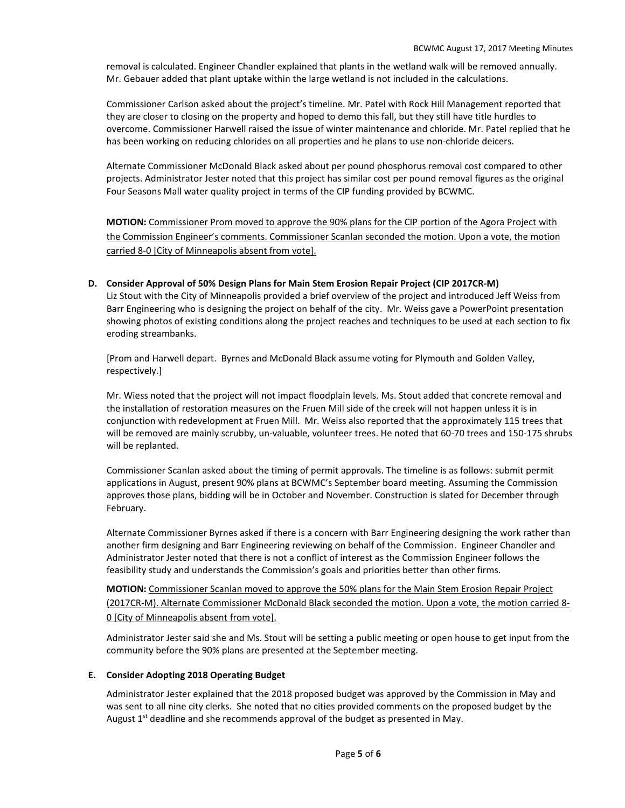removal is calculated. Engineer Chandler explained that plants in the wetland walk will be removed annually. Mr. Gebauer added that plant uptake within the large wetland is not included in the calculations.

Commissioner Carlson asked about the project's timeline. Mr. Patel with Rock Hill Management reported that they are closer to closing on the property and hoped to demo this fall, but they still have title hurdles to overcome. Commissioner Harwell raised the issue of winter maintenance and chloride. Mr. Patel replied that he has been working on reducing chlorides on all properties and he plans to use non-chloride deicers.

Alternate Commissioner McDonald Black asked about per pound phosphorus removal cost compared to other projects. Administrator Jester noted that this project has similar cost per pound removal figures as the original Four Seasons Mall water quality project in terms of the CIP funding provided by BCWMC.

**MOTION:** Commissioner Prom moved to approve the 90% plans for the CIP portion of the Agora Project with the Commission Engineer's comments. Commissioner Scanlan seconded the motion. Upon a vote, the motion carried 8-0 [City of Minneapolis absent from vote].

## **D. Consider Approval of 50% Design Plans for Main Stem Erosion Repair Project (CIP 2017CR-M)**

Liz Stout with the City of Minneapolis provided a brief overview of the project and introduced Jeff Weiss from Barr Engineering who is designing the project on behalf of the city. Mr. Weiss gave a PowerPoint presentation showing photos of existing conditions along the project reaches and techniques to be used at each section to fix eroding streambanks.

[Prom and Harwell depart. Byrnes and McDonald Black assume voting for Plymouth and Golden Valley, respectively.]

Mr. Wiess noted that the project will not impact floodplain levels. Ms. Stout added that concrete removal and the installation of restoration measures on the Fruen Mill side of the creek will not happen unless it is in conjunction with redevelopment at Fruen Mill. Mr. Weiss also reported that the approximately 115 trees that will be removed are mainly scrubby, un-valuable, volunteer trees. He noted that 60-70 trees and 150-175 shrubs will be replanted.

Commissioner Scanlan asked about the timing of permit approvals. The timeline is as follows: submit permit applications in August, present 90% plans at BCWMC's September board meeting. Assuming the Commission approves those plans, bidding will be in October and November. Construction is slated for December through February.

Alternate Commissioner Byrnes asked if there is a concern with Barr Engineering designing the work rather than another firm designing and Barr Engineering reviewing on behalf of the Commission. Engineer Chandler and Administrator Jester noted that there is not a conflict of interest as the Commission Engineer follows the feasibility study and understands the Commission's goals and priorities better than other firms.

**MOTION:** Commissioner Scanlan moved to approve the 50% plans for the Main Stem Erosion Repair Project (2017CR-M). Alternate Commissioner McDonald Black seconded the motion. Upon a vote, the motion carried 8- 0 [City of Minneapolis absent from vote].

Administrator Jester said she and Ms. Stout will be setting a public meeting or open house to get input from the community before the 90% plans are presented at the September meeting.

#### **E. Consider Adopting 2018 Operating Budget**

Administrator Jester explained that the 2018 proposed budget was approved by the Commission in May and was sent to all nine city clerks. She noted that no cities provided comments on the proposed budget by the August  $1<sup>st</sup>$  deadline and she recommends approval of the budget as presented in May.